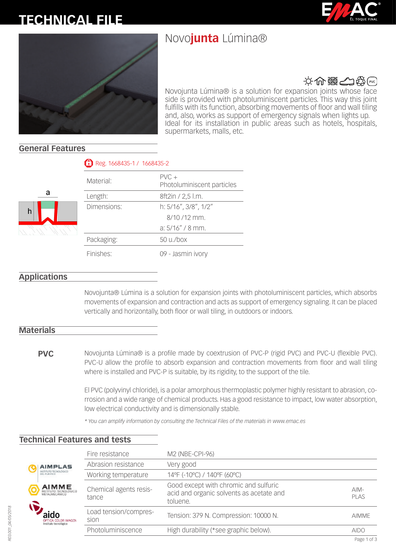# **TECHNICAL FILE**

## Novo**junta** Lúmina®





## 文命器全线图

Novojunta Lúmina® is a solution for expansion joints whose face side is provided with photoluminiscent particles. This way this joint fulfills with its function, absorbing movements of floor and wall tiling and, also, works as support of emergency signals when lights up. Ideal for its installation in public areas such as hotels, hospitals, supermarkets, malls, etc.

## **General Features**

a

| Material:   | $PVC +$<br>Photoluminiscent particles |
|-------------|---------------------------------------|
| Length:     | 8ft2in / 2,5 l.m.                     |
| Dimensions: | h: 5/16", 3/8", 1/2"                  |
|             | $8/10/12$ mm.                         |
|             | $a: 5/16'' / 8$ mm.                   |
| Packaging:  | $50 \mu$ /box                         |
| Finishes:   | 09 - Jasmin ivory                     |

Reg. 1668435-1 / 1668435-2

## **Applications**

Novojunta® Lúmina is a solution for expansion joints with photoluminiscent particles, which absorbs movements of expansion and contraction and acts as support of emergency signaling. It can be placed vertically and horizontally, both floor or wall tiling, in outdoors or indoors.

## **Materials**

**PVC** Novojunta Lúmina® is a profile made by coextrusion of PVC-P (rigid PVC) and PVC-U (flexible PVC). PVC-U allow the profile to absorb expansion and contraction movements from floor and wall tiling where is installed and PVC-P is suitable, by its rigidity, to the support of the tile.

> El PVC (polyvinyl chloride), is a polar amorphous thermoplastic polymer highly resistant to abrasion, corrosion and a wide range of chemical products. Has a good resistance to impact, low water absorption, low electrical conductivity and is dimensionally stable.

*\* You can amplify information by consulting the Technical Files of the materials in www.emac.es*

|                                                     | Fire resistance                 | M2 (NBE-CPI-96)                                                                               |                |
|-----------------------------------------------------|---------------------------------|-----------------------------------------------------------------------------------------------|----------------|
| <b>AIMPLAS</b>                                      | Abrasion resistance             | Very good                                                                                     |                |
| INSTITUTO TECNOLÓGICO<br>DEL PLASTICO               | Working temperature             | 14°F (-10°C) / 140°F (60°C)                                                                   |                |
| <b>AIMME</b><br>INSTITUTO TECNOLOGICO               | Chemical agents resis-<br>tance | Good except with chromic and sulfuric<br>acid and organic solvents as acetate and<br>toluene. | $AlM-$<br>PLAS |
| <b>OPTICA COLOR IMAGEN</b><br>Instituto tecnológico | Load tension/compres-<br>sion   | Tension: 379 N. Compression: 10000 N.                                                         | <b>AIMME</b>   |
|                                                     | Photoluminiscence               | High durability (*see graphic below).                                                         | <b>AIDO</b>    |

## **Technical Features and tests**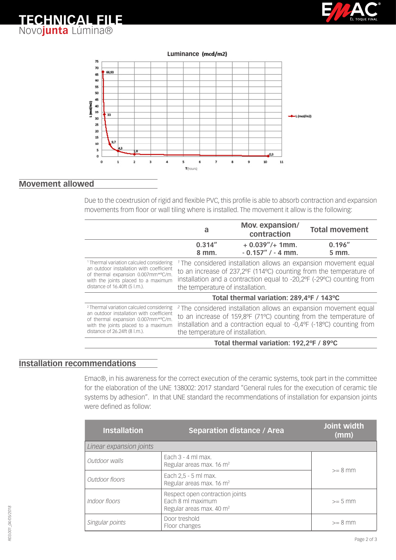





## **Movement allowed**

**TECHNICAL FILE** Novo**junta** Lúmina®

> Due to the coextrusion of rigid and flexible PVC, this profile is able to absorb contraction and expansion movements from floor or wall tiling where is installed. The movement it allow is the following:

|                                                                                                                                                                                                               | a                                                                                                                                                                                                                                                              | Mov. expansion/<br>contraction             | <b>Total movement</b>                                                                                                                                                                                                    |
|---------------------------------------------------------------------------------------------------------------------------------------------------------------------------------------------------------------|----------------------------------------------------------------------------------------------------------------------------------------------------------------------------------------------------------------------------------------------------------------|--------------------------------------------|--------------------------------------------------------------------------------------------------------------------------------------------------------------------------------------------------------------------------|
|                                                                                                                                                                                                               | 0.314''<br>8 mm.                                                                                                                                                                                                                                               | $+0.039''/+1$ mm.<br>$-0.157''$ / $-4$ mm. | 0.196''<br>5 mm.                                                                                                                                                                                                         |
| <sup>1</sup> Thermal variation calculed considering<br>an outdoor installation with coefficient<br>of thermal expansion 0.007mm*°C/m.<br>with the joints placed to a maximum<br>distance of 16.40ft (5 l.m.). | <sup>1</sup> The considered installation allows an expansion movement equal<br>to an increase of 237,2°F (114°C) counting from the temperature of<br>installation and a contraction equal to -20,2°F (-29°C) counting from<br>the temperature of installation. |                                            |                                                                                                                                                                                                                          |
|                                                                                                                                                                                                               | Total thermal variation: 289,4°F / 143°C                                                                                                                                                                                                                       |                                            |                                                                                                                                                                                                                          |
| <sup>2</sup> Thermal variation calculed considering<br>an outdoor installation with coefficient<br>of thermal expansion 0.007mm*°C/m.<br>with the joints placed to a maximum<br>distance of 26.24ft (8 l.m.). | the temperature of installation.                                                                                                                                                                                                                               |                                            | <sup>2</sup> The considered installation allows an expansion movement equal<br>to an increase of 159,8°F (71°C) counting from the temperature of<br>installation and a contraction equal to -0,4ºF (-18°C) counting from |
|                                                                                                                                                                                                               |                                                                                                                                                                                                                                                                | Total thermal variation: 192,2°F / 89°C    |                                                                                                                                                                                                                          |

## **Installation recommendations**

Emac®, in his awareness for the correct execution of the ceramic systems, took part in the committee for the elaboration of the UNE 138002: 2017 standard "General rules for the execution of ceramic tile systems by adhesion". In that UNE standard the recommendations of installation for expansion joints were defined as follow:

| <b>Installation</b>     | <b>Separation distance / Area</b>                                                            | Joint width<br>(mm) |
|-------------------------|----------------------------------------------------------------------------------------------|---------------------|
| Linear expansion joints |                                                                                              |                     |
| Outdoor walls           | Each $3 - 4$ ml max.<br>Regular areas max. 16 m <sup>2</sup>                                 | $>= 8$ mm           |
| Outdoor floors          | Each 2,5 - 5 ml max.<br>Regular areas max. 16 m <sup>2</sup>                                 |                     |
| Indoor floors           | Respect open contraction joints<br>Fach 8 ml maximum<br>Regular areas max. 40 m <sup>2</sup> | $>= 5$ mm           |
| Singular points         | Door treshold<br>Floor changes                                                               | $>= 8$ mm           |